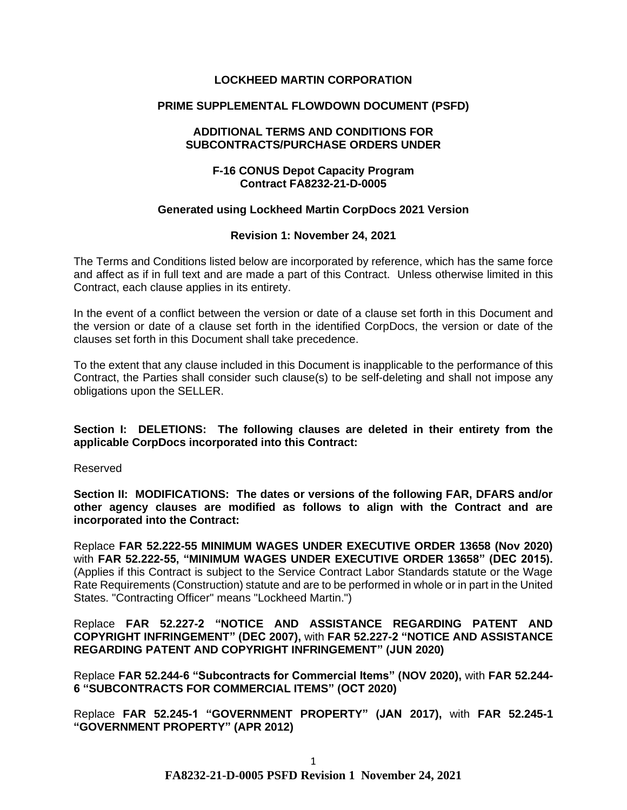## **LOCKHEED MARTIN CORPORATION**

## **PRIME SUPPLEMENTAL FLOWDOWN DOCUMENT (PSFD)**

#### **ADDITIONAL TERMS AND CONDITIONS FOR SUBCONTRACTS/PURCHASE ORDERS UNDER**

## **F-16 CONUS Depot Capacity Program Contract FA8232-21-D-0005**

#### **Generated using Lockheed Martin CorpDocs 2021 Version**

## **Revision 1: November 24, 2021**

The Terms and Conditions listed below are incorporated by reference, which has the same force and affect as if in full text and are made a part of this Contract. Unless otherwise limited in this Contract, each clause applies in its entirety.

In the event of a conflict between the version or date of a clause set forth in this Document and the version or date of a clause set forth in the identified CorpDocs, the version or date of the clauses set forth in this Document shall take precedence.

To the extent that any clause included in this Document is inapplicable to the performance of this Contract, the Parties shall consider such clause(s) to be self-deleting and shall not impose any obligations upon the SELLER.

**Section I: DELETIONS: The following clauses are deleted in their entirety from the applicable CorpDocs incorporated into this Contract:**

Reserved

**Section II: MODIFICATIONS: The dates or versions of the following FAR, DFARS and/or other agency clauses are modified as follows to align with the Contract and are incorporated into the Contract:**

Replace **FAR 52.222-55 MINIMUM WAGES UNDER EXECUTIVE ORDER 13658 (Nov 2020)**  with **FAR 52.222-55, "MINIMUM WAGES UNDER EXECUTIVE ORDER 13658" (DEC 2015).**  (Applies if this Contract is subject to the Service Contract Labor Standards statute or the Wage Rate Requirements (Construction) statute and are to be performed in whole or in part in the United States. "Contracting Officer" means "Lockheed Martin.")

Replace **FAR 52.227-2 "NOTICE AND ASSISTANCE REGARDING PATENT AND COPYRIGHT INFRINGEMENT" (DEC 2007),** with **FAR 52.227-2 "NOTICE AND ASSISTANCE REGARDING PATENT AND COPYRIGHT INFRINGEMENT" (JUN 2020)** 

Replace **FAR 52.244-6 "Subcontracts for Commercial Items" (NOV 2020),** with **FAR 52.244- 6 "SUBCONTRACTS FOR COMMERCIAL ITEMS" (OCT 2020)**

Replace **FAR 52.245-1 "GOVERNMENT PROPERTY" (JAN 2017),** with **FAR 52.245-1 "GOVERNMENT PROPERTY" (APR 2012)**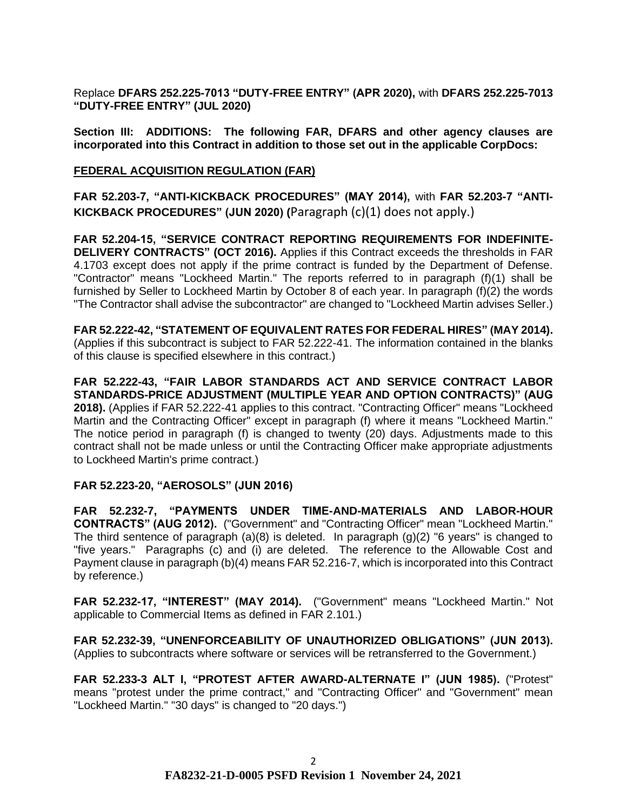Replace **DFARS 252.225-7013 "DUTY-FREE ENTRY" (APR 2020),** with **DFARS 252.225-7013 "DUTY-FREE ENTRY" (JUL 2020)**

**Section III: ADDITIONS: The following FAR, DFARS and other agency clauses are incorporated into this Contract in addition to those set out in the applicable CorpDocs:**

#### **[FEDERAL ACQUISITION REGULATION \(](https://www.acquisition.gov/browsefar)FAR)**

**FAR 52.203-7, "ANTI-KICKBACK PROCEDURES" (MAY 2014),** with **FAR 52.203-7 "ANTI-KICKBACK PROCEDURES" (JUN 2020) (**Paragraph (c)(1) does not apply.)

**FAR 52.204-15, "SERVICE CONTRACT REPORTING REQUIREMENTS FOR INDEFINITE-DELIVERY CONTRACTS" (OCT 2016).** Applies if this Contract exceeds the thresholds in FAR 4.1703 except does not apply if the prime contract is funded by the Department of Defense. "Contractor" means "Lockheed Martin." The reports referred to in paragraph (f)(1) shall be furnished by Seller to Lockheed Martin by October 8 of each year. In paragraph (f)(2) the words "The Contractor shall advise the subcontractor" are changed to "Lockheed Martin advises Seller.)

**FAR 52.222-42, "STATEMENT OF EQUIVALENT RATES FOR FEDERAL HIRES" (MAY 2014).**  (Applies if this subcontract is subject to FAR 52.222-41. The information contained in the blanks of this clause is specified elsewhere in this contract.)

**FAR 52.222-43, "FAIR LABOR STANDARDS ACT AND SERVICE CONTRACT LABOR STANDARDS-PRICE ADJUSTMENT (MULTIPLE YEAR AND OPTION CONTRACTS)" (AUG 2018).** (Applies if FAR 52.222-41 applies to this contract. "Contracting Officer" means "Lockheed Martin and the Contracting Officer" except in paragraph (f) where it means "Lockheed Martin." The notice period in paragraph (f) is changed to twenty (20) days. Adjustments made to this contract shall not be made unless or until the Contracting Officer make appropriate adjustments to Lockheed Martin's prime contract.)

# **FAR 52.223-20, "AEROSOLS" (JUN 2016)**

**FAR 52.232-7, "PAYMENTS UNDER TIME-AND-MATERIALS AND LABOR-HOUR CONTRACTS" (AUG 2012).** ("Government" and "Contracting Officer" mean "Lockheed Martin." The third sentence of paragraph  $(a)(8)$  is deleted. In paragraph  $(q)(2)$  "6 years" is changed to "five years." Paragraphs (c) and (i) are deleted. The reference to the Allowable Cost and Payment clause in paragraph (b)(4) means FAR 52.216-7, which is incorporated into this Contract by reference.)

**FAR 52.232-17, "INTEREST" (MAY 2014).** ("Government" means "Lockheed Martin." Not applicable to Commercial Items as defined in FAR 2.101.)

**FAR 52.232-39, "UNENFORCEABILITY OF UNAUTHORIZED OBLIGATIONS" (JUN 2013).** (Applies to subcontracts where software or services will be retransferred to the Government.)

**FAR 52.233-3 ALT I, "PROTEST AFTER AWARD-ALTERNATE I" (JUN 1985).** ("Protest" means "protest under the prime contract," and "Contracting Officer" and "Government" mean "Lockheed Martin." "30 days" is changed to "20 days.")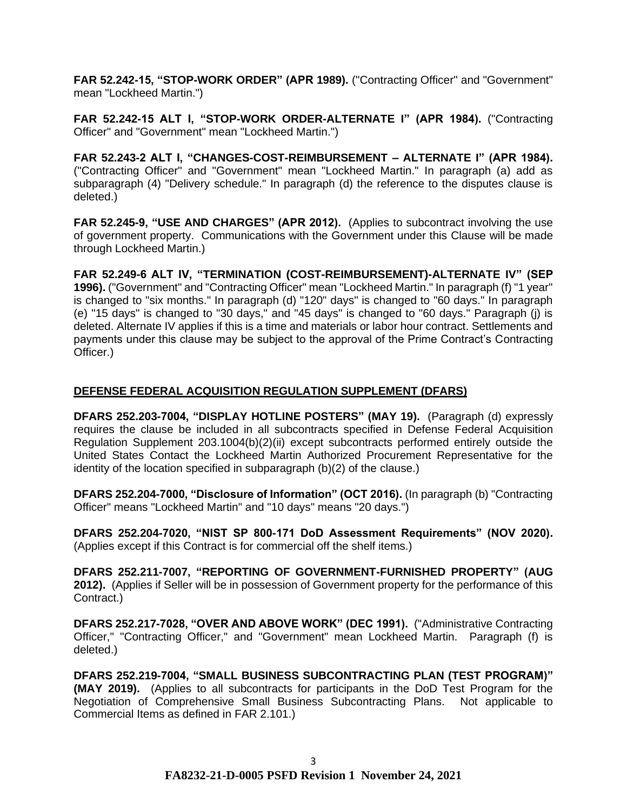**FAR 52.242-15, "STOP-WORK ORDER" (APR 1989).** ("Contracting Officer" and "Government" mean "Lockheed Martin.")

**FAR 52.242-15 ALT I, "STOP-WORK ORDER-ALTERNATE I" (APR 1984).** ("Contracting Officer" and "Government" mean "Lockheed Martin.")

**FAR 52.243-2 ALT I, "CHANGES-COST-REIMBURSEMENT – ALTERNATE I" (APR 1984).**  ("Contracting Officer" and "Government" mean "Lockheed Martin." In paragraph (a) add as subparagraph (4) "Delivery schedule." In paragraph (d) the reference to the disputes clause is deleted.)

**FAR 52.245-9, "USE AND CHARGES" (APR 2012).** (Applies to subcontract involving the use of government property. Communications with the Government under this Clause will be made through Lockheed Martin.)

**FAR 52.249-6 ALT IV, "TERMINATION (COST-REIMBURSEMENT)-ALTERNATE IV" (SEP 1996).** ("Government" and "Contracting Officer" mean "Lockheed Martin." In paragraph (f) "1 year" is changed to "six months." In paragraph (d) "120" days" is changed to "60 days." In paragraph (e) "15 days" is changed to "30 days," and "45 days" is changed to "60 days." Paragraph (j) is deleted. Alternate IV applies if this is a time and materials or labor hour contract. Settlements and payments under this clause may be subject to the approval of the Prime Contract's Contracting Officer.)

# **DEFENSE FEDERAL ACQUISITION REGULATION SUPPLEMENT (DFARS)**

**DFARS 252.203-7004, "DISPLAY HOTLINE POSTERS" (MAY 19).** (Paragraph (d) expressly requires the clause be included in all subcontracts specified in Defense Federal Acquisition Regulation Supplement 203.1004(b)(2)(ii) except subcontracts performed entirely outside the United States Contact the Lockheed Martin Authorized Procurement Representative for the identity of the location specified in subparagraph (b)(2) of the clause.)

**DFARS 252.204-7000, "Disclosure of Information" (OCT 2016).** (In paragraph (b) "Contracting Officer" means "Lockheed Martin" and "10 days" means "20 days.")

**DFARS 252.204-7020, "NIST SP 800-171 DoD Assessment Requirements" (NOV 2020).**  (Applies except if this Contract is for commercial off the shelf items.)

**DFARS 252.211-7007, "REPORTING OF GOVERNMENT-FURNISHED PROPERTY" (AUG 2012).** (Applies if Seller will be in possession of Government property for the performance of this Contract.)

**DFARS 252.217-7028, "OVER AND ABOVE WORK" (DEC 1991).** ("Administrative Contracting Officer," "Contracting Officer," and "Government" mean Lockheed Martin. Paragraph (f) is deleted.)

**DFARS 252.219-7004, "SMALL BUSINESS SUBCONTRACTING PLAN (TEST PROGRAM)" (MAY 2019).** (Applies to all subcontracts for participants in the DoD Test Program for the Negotiation of Comprehensive Small Business Subcontracting Plans. Not applicable to Commercial Items as defined in FAR 2.101.)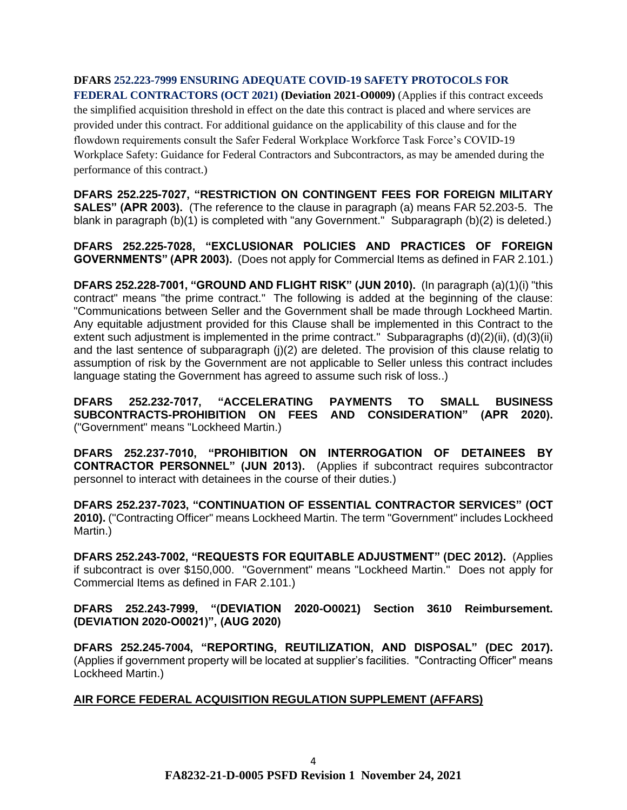## **DFARS 252.223-7999 ENSURING ADEQUATE COVID-19 SAFETY PROTOCOLS FOR FEDERAL CONTRACTORS (OCT 2021) (Deviation 2021-O0009)** (Applies if this contract exceeds

the simplified acquisition threshold in effect on the date this contract is placed and where services are provided under this contract. For additional guidance on the applicability of this clause and for the flowdown requirements consult the Safer Federal Workplace Workforce Task Force's COVID-19 Workplace Safety: Guidance for Federal Contractors and Subcontractors, as may be amended during the performance of this contract.)

**DFARS 252.225-7027, "RESTRICTION ON CONTINGENT FEES FOR FOREIGN MILITARY SALES" (APR 2003).** (The reference to the clause in paragraph (a) means FAR 52.203-5. The blank in paragraph (b)(1) is completed with "any Government." Subparagraph (b)(2) is deleted.)

**DFARS 252.225-7028, "EXCLUSIONAR POLICIES AND PRACTICES OF FOREIGN GOVERNMENTS" (APR 2003).** (Does not apply for Commercial Items as defined in FAR 2.101.)

**DFARS 252.228-7001, "GROUND AND FLIGHT RISK" (JUN 2010).** (In paragraph (a)(1)(i) "this contract" means "the prime contract." The following is added at the beginning of the clause: "Communications between Seller and the Government shall be made through Lockheed Martin. Any equitable adjustment provided for this Clause shall be implemented in this Contract to the extent such adjustment is implemented in the prime contract." Subparagraphs (d)(2)(ii), (d)(3)(ii) and the last sentence of subparagraph (j)(2) are deleted. The provision of this clause relatig to assumption of risk by the Government are not applicable to Seller unless this contract includes language stating the Government has agreed to assume such risk of loss..)

**DFARS 252.232-7017, "ACCELERATING PAYMENTS TO SMALL BUSINESS SUBCONTRACTS-PROHIBITION ON FEES AND CONSIDERATION" (APR 2020).**  ("Government" means "Lockheed Martin.)

**DFARS 252.237-7010, "PROHIBITION ON INTERROGATION OF DETAINEES BY CONTRACTOR PERSONNEL" (JUN 2013).** (Applies if subcontract requires subcontractor personnel to interact with detainees in the course of their duties.)

**DFARS 252.237-7023, "CONTINUATION OF ESSENTIAL CONTRACTOR SERVICES" (OCT**  2010). ("Contracting Officer" means Lockheed Martin. The term "Government" includes Lockheed Martin.)

**DFARS 252.243-7002, "REQUESTS FOR EQUITABLE ADJUSTMENT" (DEC 2012).** (Applies if subcontract is over \$150,000. "Government" means "Lockheed Martin." Does not apply for Commercial Items as defined in FAR 2.101.)

**DFARS 252.243-7999, "(DEVIATION 2020-O0021) Section 3610 Reimbursement. (DEVIATION 2020-O0021)", (AUG 2020)**

**DFARS 252.245-7004, "REPORTING, REUTILIZATION, AND DISPOSAL" (DEC 2017).** (Applies if government property will be located at supplier's facilities. "Contracting Officer" means Lockheed Martin.)

# **AIR FORCE FEDERAL ACQUISITION REGULATION SUPPLEMENT (AFFARS)**